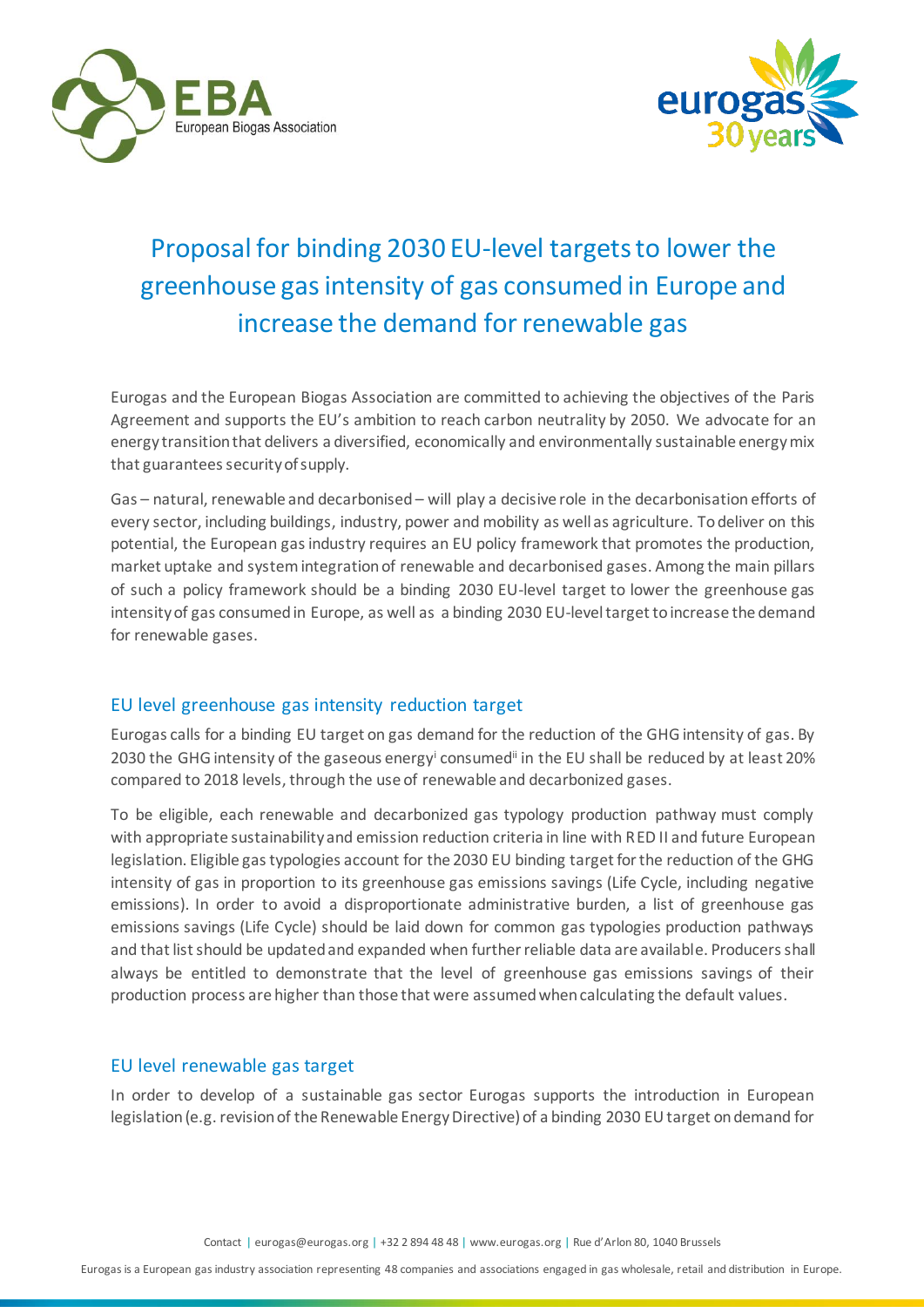



## Proposal for binding 2030 EU-level targetsto lower the greenhouse gas intensity of gas consumed in Europe and increase the demand for renewable gas

Eurogas and the European Biogas Association are committed to achieving the objectives of the Paris Agreement and supports the EU's ambition to reach carbon neutrality by 2050. We advocate for an energy transition that delivers a diversified, economically and environmentally sustainable energy mix that guarantees security of supply.

Gas – natural, renewable and decarbonised – will play a decisive role in the decarbonisation efforts of every sector, including buildings, industry, power and mobility as well as agriculture. To deliver on this potential, the European gas industry requires an EU policy framework that promotes the production, market uptake and system integration of renewable and decarbonised gases. Among the main pillars of such a policy framework should be a binding 2030 EU-level target to lower the greenhouse gas intensity of gas consumed in Europe, as well as a binding 2030 EU-level target to increase the demand for renewable gases.

## EU level greenhouse gas intensity reduction target

Eurogas calls for a binding EU target on gas demand for the reduction of the GHG intensity of gas. By 2030 the GHG intensity of the gaseous energy<sup>i</sup> consumed in the EU shall be reduced by at least 20% compared to 2018 levels, through the use of renewable and decarbonized gases.

To be eligible, each renewable and decarbonized gas typology production pathway must comply with appropriate sustainability and emission reduction criteria in line with RED II and future European legislation. Eligible gas typologies account for the 2030 EU binding target for the reduction of the GHG intensity of gas in proportion to its greenhouse gas emissions savings (Life Cycle, including negative emissions). In order to avoid a disproportionate administrative burden, a list of greenhouse gas emissions savings (Life Cycle) should be laid down for common gas typologies production pathways and that list should be updated and expanded when further reliable data are available. Producers shall always be entitled to demonstrate that the level of greenhouse gas emissions savings of their production process are higher than those that were assumed when calculating the default values.

## EU level renewable gas target

In order to develop of a sustainable gas sector Eurogas supports the introduction in European legislation (e.g. revision of the Renewable Energy Directive) of a binding 2030 EU target on demand for